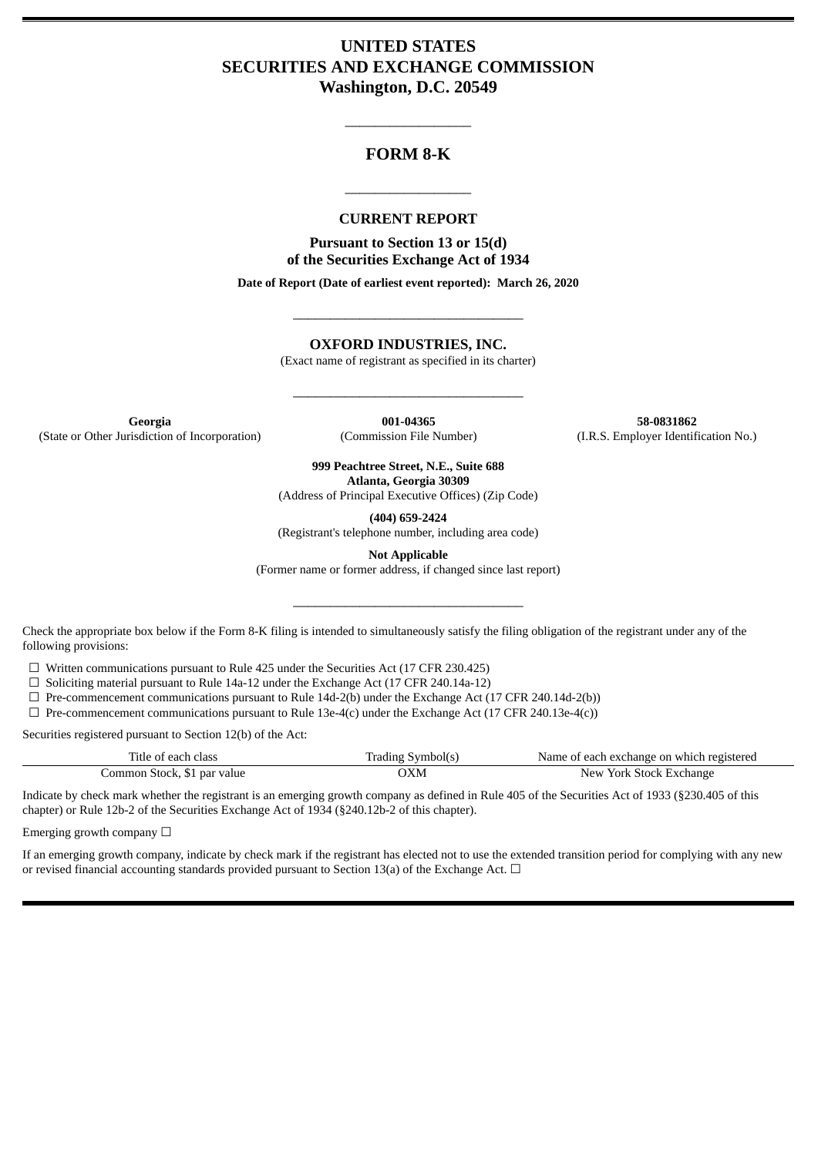# **UNITED STATES SECURITIES AND EXCHANGE COMMISSION Washington, D.C. 20549**

# **FORM 8-K**

\_\_\_\_\_\_\_\_\_\_\_\_\_\_\_\_\_

#### **CURRENT REPORT**

\_\_\_\_\_\_\_\_\_\_\_\_\_\_\_\_\_

**Pursuant to Section 13 or 15(d) of the Securities Exchange Act of 1934**

**Date of Report (Date of earliest event reported): March 26, 2020**

\_\_\_\_\_\_\_\_\_\_\_\_\_\_\_\_\_\_\_\_\_\_\_\_\_\_\_\_\_\_\_

**OXFORD INDUSTRIES, INC.**

(Exact name of registrant as specified in its charter)

\_\_\_\_\_\_\_\_\_\_\_\_\_\_\_\_\_\_\_\_\_\_\_\_\_\_\_\_\_\_\_

**Georgia 001-04365 58-0831862** (State or Other Jurisdiction of Incorporation) (Commission File Number) (I.R.S. Employer Identification No.)

**999 Peachtree Street, N.E., Suite 688 Atlanta, Georgia 30309**

(Address of Principal Executive Offices) (Zip Code)

**(404) 659-2424**

(Registrant's telephone number, including area code)

**Not Applicable**

(Former name or former address, if changed since last report)

\_\_\_\_\_\_\_\_\_\_\_\_\_\_\_\_\_\_\_\_\_\_\_\_\_\_\_\_\_\_\_

Check the appropriate box below if the Form 8-K filing is intended to simultaneously satisfy the filing obligation of the registrant under any of the following provisions:

☐ Written communications pursuant to Rule 425 under the Securities Act (17 CFR 230.425)

 $\Box$  Soliciting material pursuant to Rule 14a-12 under the Exchange Act (17 CFR 240.14a-12)

 $\Box$  Pre-commencement communications pursuant to Rule 14d-2(b) under the Exchange Act (17 CFR 240.14d-2(b))

 $\Box$  Pre-commencement communications pursuant to Rule 13e-4(c) under the Exchange Act (17 CFR 240.13e-4(c))

Securities registered pursuant to Section 12(b) of the Act:

| Title of each class         | Trading Symbol(s) | Name of each exchange on which registered |
|-----------------------------|-------------------|-------------------------------------------|
| Common Stock, \$1 par value | ЭXМ               | New York Stock Exchange                   |

Indicate by check mark whether the registrant is an emerging growth company as defined in Rule 405 of the Securities Act of 1933 (§230.405 of this chapter) or Rule 12b-2 of the Securities Exchange Act of 1934 (§240.12b-2 of this chapter).

Emerging growth company  $\Box$ 

If an emerging growth company, indicate by check mark if the registrant has elected not to use the extended transition period for complying with any new or revised financial accounting standards provided pursuant to Section 13(a) of the Exchange Act.  $\Box$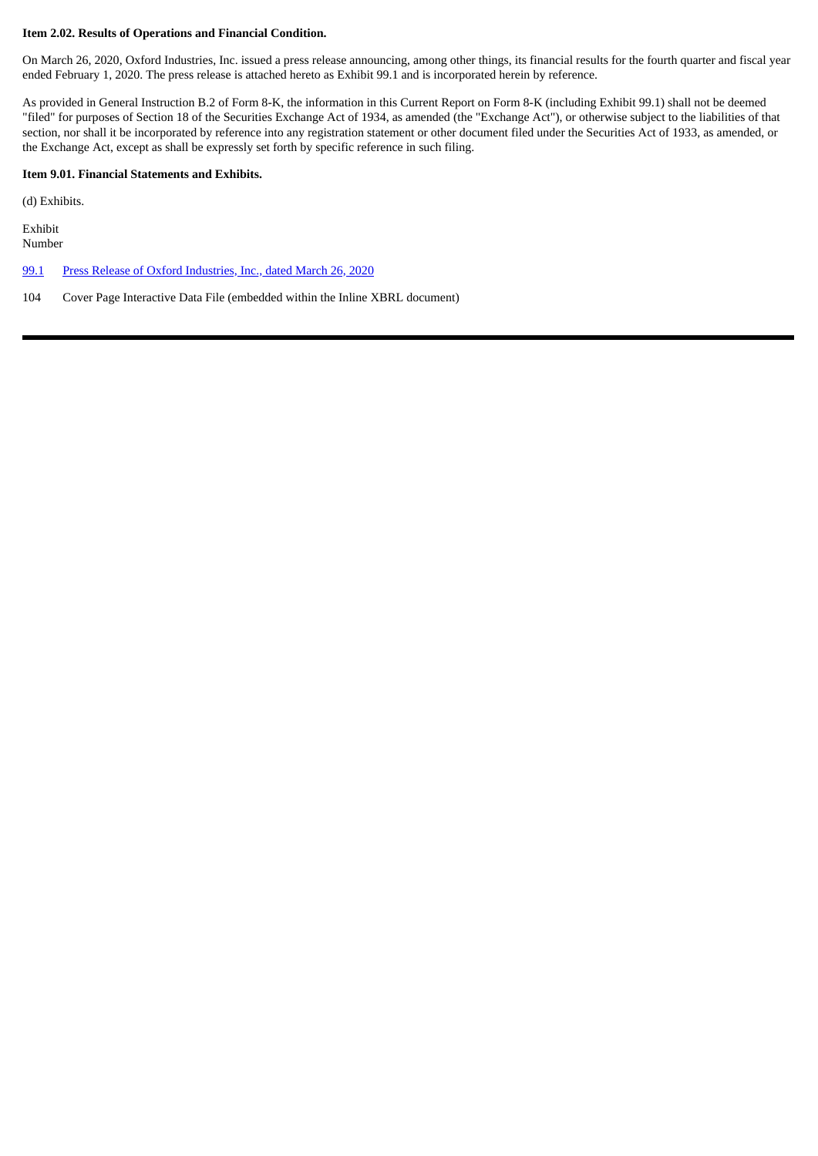#### **Item 2.02. Results of Operations and Financial Condition.**

On March 26, 2020, Oxford Industries, Inc. issued a press release announcing, among other things, its financial results for the fourth quarter and fiscal year ended February 1, 2020. The press release is attached hereto as Exhibit 99.1 and is incorporated herein by reference.

As provided in General Instruction B.2 of Form 8-K, the information in this Current Report on Form 8-K (including Exhibit 99.1) shall not be deemed "filed" for purposes of Section 18 of the Securities Exchange Act of 1934, as amended (the "Exchange Act"), or otherwise subject to the liabilities of that section, nor shall it be incorporated by reference into any registration statement or other document filed under the Securities Act of 1933, as amended, or the Exchange Act, except as shall be expressly set forth by specific reference in such filing.

#### **Item 9.01. Financial Statements and Exhibits.**

(d) Exhibits.

Exhibit Number

[99.1](#page-3-0) Press Release of Oxford [Industries,](#page-3-0) Inc., dated March 26, 2020

104 Cover Page Interactive Data File (embedded within the Inline XBRL document)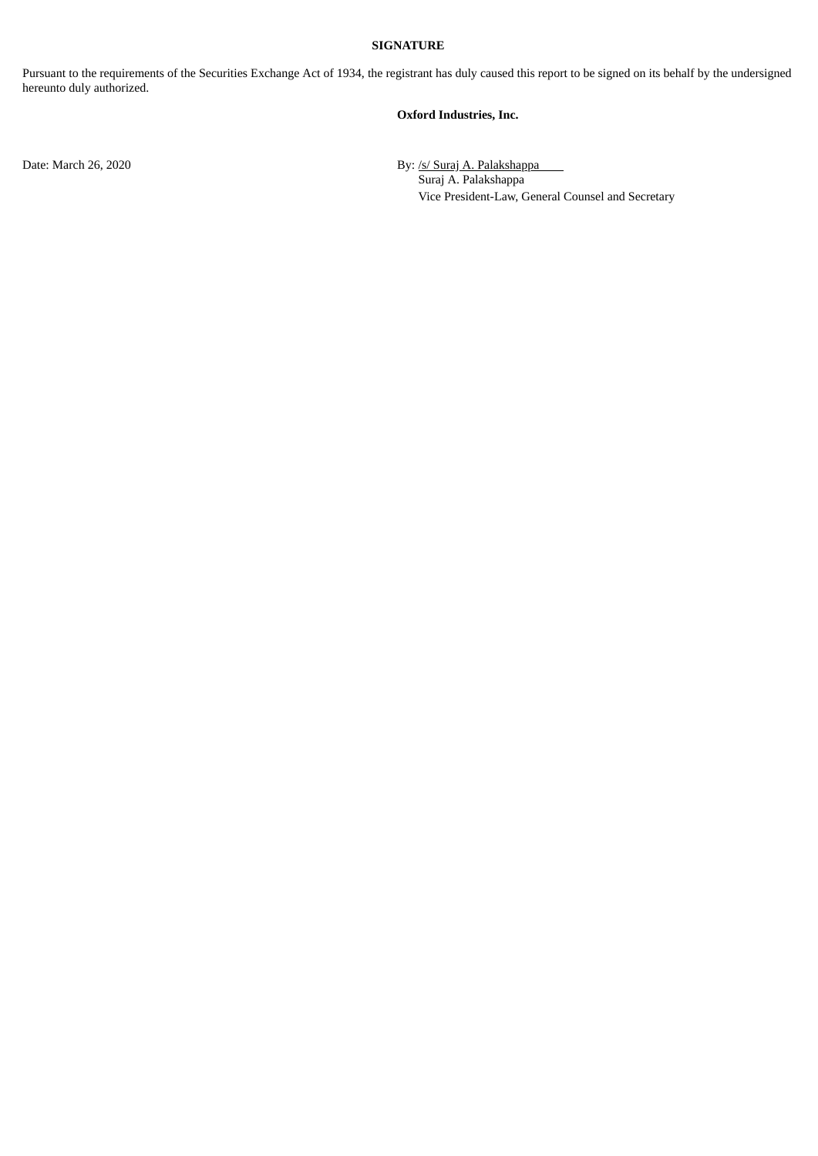#### **SIGNATURE**

Pursuant to the requirements of the Securities Exchange Act of 1934, the registrant has duly caused this report to be signed on its behalf by the undersigned hereunto duly authorized.

#### **Oxford Industries, Inc.**

Date: March 26, 2020 By: /s/ Suraj A. Palakshappa Suraj A. Palakshappa Vice President-Law, General Counsel and Secretary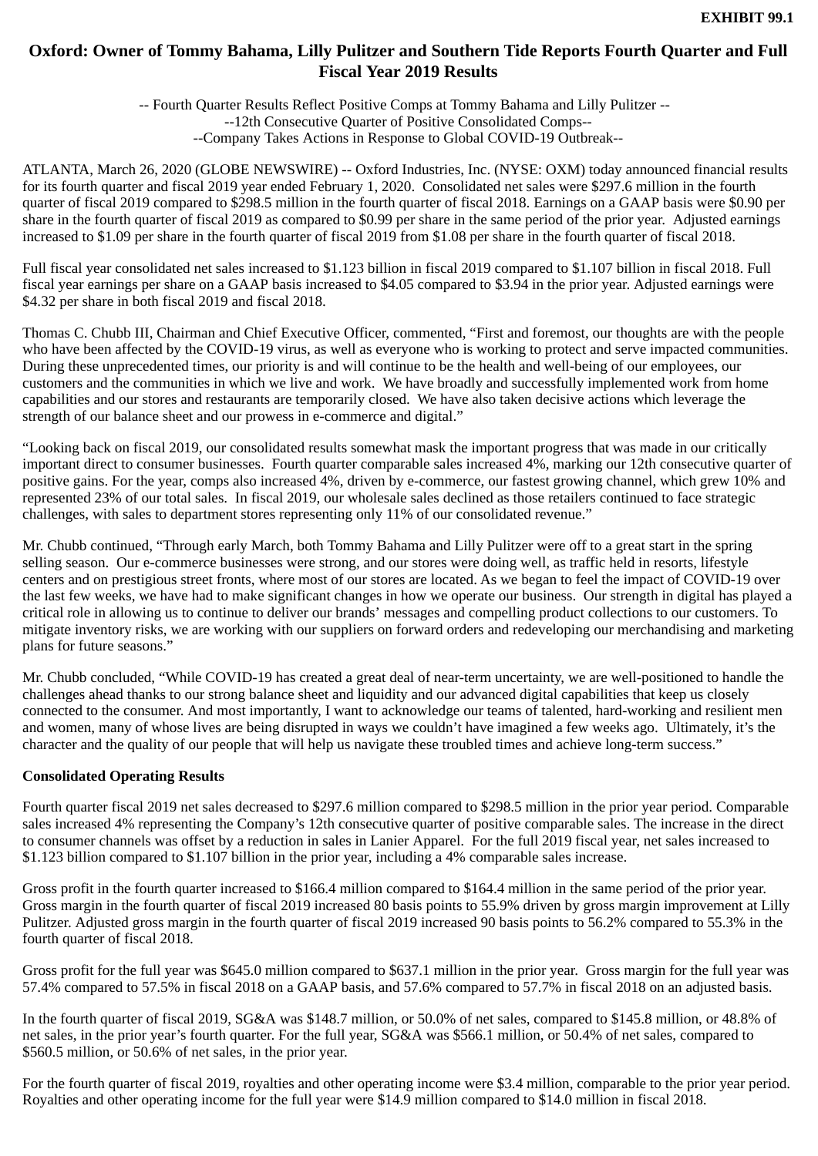# <span id="page-3-0"></span>**Oxford: Owner of Tommy Bahama, Lilly Pulitzer and Southern Tide Reports Fourth Quarter and Full Fiscal Year 2019 Results**

-- Fourth Quarter Results Reflect Positive Comps at Tommy Bahama and Lilly Pulitzer -- --12th Consecutive Quarter of Positive Consolidated Comps-- --Company Takes Actions in Response to Global COVID-19 Outbreak--

ATLANTA, March 26, 2020 (GLOBE NEWSWIRE) -- Oxford Industries, Inc. (NYSE: OXM) today announced financial results for its fourth quarter and fiscal 2019 year ended February 1, 2020. Consolidated net sales were \$297.6 million in the fourth quarter of fiscal 2019 compared to \$298.5 million in the fourth quarter of fiscal 2018. Earnings on a GAAP basis were \$0.90 per share in the fourth quarter of fiscal 2019 as compared to \$0.99 per share in the same period of the prior year. Adjusted earnings increased to \$1.09 per share in the fourth quarter of fiscal 2019 from \$1.08 per share in the fourth quarter of fiscal 2018.

Full fiscal year consolidated net sales increased to \$1.123 billion in fiscal 2019 compared to \$1.107 billion in fiscal 2018. Full fiscal year earnings per share on a GAAP basis increased to \$4.05 compared to \$3.94 in the prior year. Adjusted earnings were \$4.32 per share in both fiscal 2019 and fiscal 2018.

Thomas C. Chubb III, Chairman and Chief Executive Officer, commented, "First and foremost, our thoughts are with the people who have been affected by the COVID-19 virus, as well as everyone who is working to protect and serve impacted communities. During these unprecedented times, our priority is and will continue to be the health and well-being of our employees, our customers and the communities in which we live and work. We have broadly and successfully implemented work from home capabilities and our stores and restaurants are temporarily closed. We have also taken decisive actions which leverage the strength of our balance sheet and our prowess in e-commerce and digital."

"Looking back on fiscal 2019, our consolidated results somewhat mask the important progress that was made in our critically important direct to consumer businesses. Fourth quarter comparable sales increased 4%, marking our 12th consecutive quarter of positive gains. For the year, comps also increased 4%, driven by e-commerce, our fastest growing channel, which grew 10% and represented 23% of our total sales. In fiscal 2019, our wholesale sales declined as those retailers continued to face strategic challenges, with sales to department stores representing only 11% of our consolidated revenue."

Mr. Chubb continued, "Through early March, both Tommy Bahama and Lilly Pulitzer were off to a great start in the spring selling season. Our e-commerce businesses were strong, and our stores were doing well, as traffic held in resorts, lifestyle centers and on prestigious street fronts, where most of our stores are located. As we began to feel the impact of COVID-19 over the last few weeks, we have had to make significant changes in how we operate our business. Our strength in digital has played a critical role in allowing us to continue to deliver our brands' messages and compelling product collections to our customers. To mitigate inventory risks, we are working with our suppliers on forward orders and redeveloping our merchandising and marketing plans for future seasons."

Mr. Chubb concluded, "While COVID-19 has created a great deal of near-term uncertainty, we are well-positioned to handle the challenges ahead thanks to our strong balance sheet and liquidity and our advanced digital capabilities that keep us closely connected to the consumer. And most importantly, I want to acknowledge our teams of talented, hard-working and resilient men and women, many of whose lives are being disrupted in ways we couldn't have imagined a few weeks ago. Ultimately, it's the character and the quality of our people that will help us navigate these troubled times and achieve long-term success."

## **Consolidated Operating Results**

Fourth quarter fiscal 2019 net sales decreased to \$297.6 million compared to \$298.5 million in the prior year period. Comparable sales increased 4% representing the Company's 12th consecutive quarter of positive comparable sales. The increase in the direct to consumer channels was offset by a reduction in sales in Lanier Apparel. For the full 2019 fiscal year, net sales increased to \$1.123 billion compared to \$1.107 billion in the prior year, including a 4% comparable sales increase.

Gross profit in the fourth quarter increased to \$166.4 million compared to \$164.4 million in the same period of the prior year. Gross margin in the fourth quarter of fiscal 2019 increased 80 basis points to 55.9% driven by gross margin improvement at Lilly Pulitzer. Adjusted gross margin in the fourth quarter of fiscal 2019 increased 90 basis points to 56.2% compared to 55.3% in the fourth quarter of fiscal 2018.

Gross profit for the full year was \$645.0 million compared to \$637.1 million in the prior year. Gross margin for the full year was 57.4% compared to 57.5% in fiscal 2018 on a GAAP basis, and 57.6% compared to 57.7% in fiscal 2018 on an adjusted basis.

In the fourth quarter of fiscal 2019, SG&A was \$148.7 million, or 50.0% of net sales, compared to \$145.8 million, or 48.8% of net sales, in the prior year's fourth quarter. For the full year, SG&A was \$566.1 million, or 50.4% of net sales, compared to \$560.5 million, or 50.6% of net sales, in the prior year.

For the fourth quarter of fiscal 2019, royalties and other operating income were \$3.4 million, comparable to the prior year period. Royalties and other operating income for the full year were \$14.9 million compared to \$14.0 million in fiscal 2018.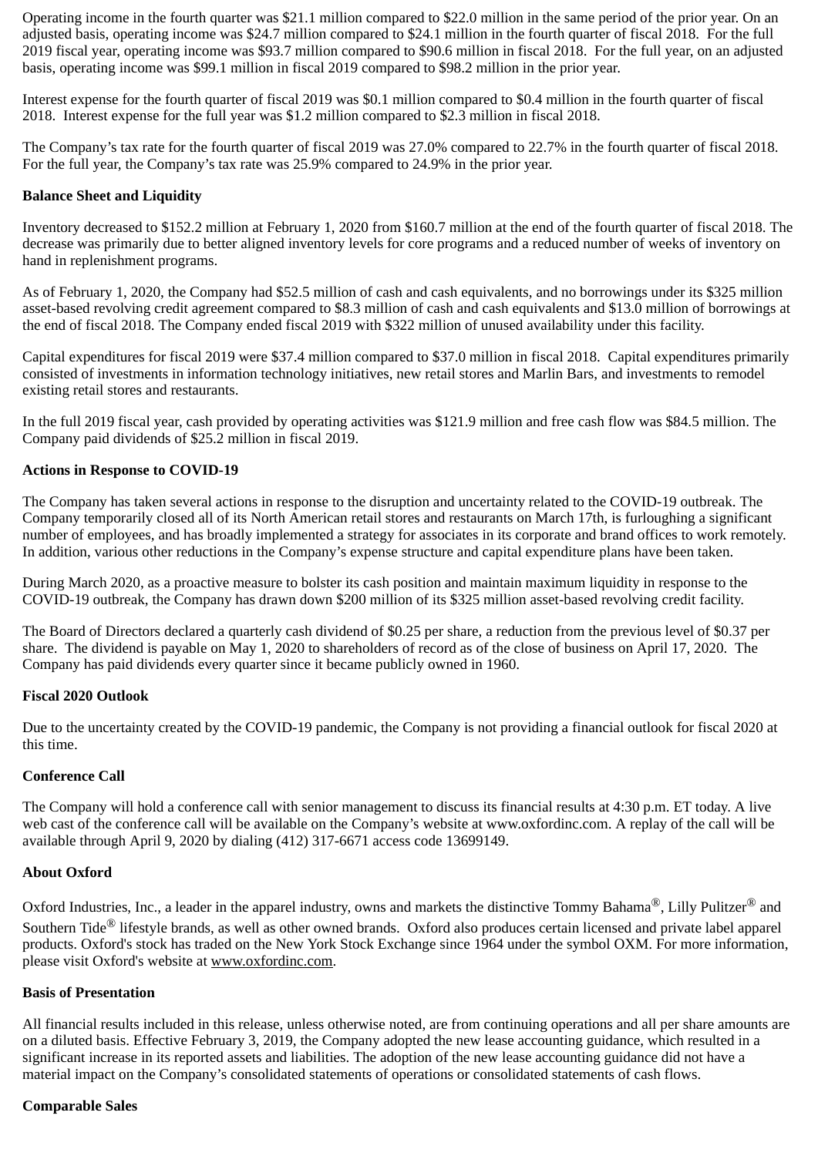Operating income in the fourth quarter was \$21.1 million compared to \$22.0 million in the same period of the prior year. On an adjusted basis, operating income was \$24.7 million compared to \$24.1 million in the fourth quarter of fiscal 2018. For the full 2019 fiscal year, operating income was \$93.7 million compared to \$90.6 million in fiscal 2018. For the full year, on an adjusted basis, operating income was \$99.1 million in fiscal 2019 compared to \$98.2 million in the prior year.

Interest expense for the fourth quarter of fiscal 2019 was \$0.1 million compared to \$0.4 million in the fourth quarter of fiscal 2018. Interest expense for the full year was \$1.2 million compared to \$2.3 million in fiscal 2018.

The Company's tax rate for the fourth quarter of fiscal 2019 was 27.0% compared to 22.7% in the fourth quarter of fiscal 2018. For the full year, the Company's tax rate was 25.9% compared to 24.9% in the prior year.

## **Balance Sheet and Liquidity**

Inventory decreased to \$152.2 million at February 1, 2020 from \$160.7 million at the end of the fourth quarter of fiscal 2018. The decrease was primarily due to better aligned inventory levels for core programs and a reduced number of weeks of inventory on hand in replenishment programs.

As of February 1, 2020, the Company had \$52.5 million of cash and cash equivalents, and no borrowings under its \$325 million asset-based revolving credit agreement compared to \$8.3 million of cash and cash equivalents and \$13.0 million of borrowings at the end of fiscal 2018. The Company ended fiscal 2019 with \$322 million of unused availability under this facility.

Capital expenditures for fiscal 2019 were \$37.4 million compared to \$37.0 million in fiscal 2018. Capital expenditures primarily consisted of investments in information technology initiatives, new retail stores and Marlin Bars, and investments to remodel existing retail stores and restaurants.

In the full 2019 fiscal year, cash provided by operating activities was \$121.9 million and free cash flow was \$84.5 million. The Company paid dividends of \$25.2 million in fiscal 2019.

## **Actions in Response to COVID-19**

The Company has taken several actions in response to the disruption and uncertainty related to the COVID-19 outbreak. The Company temporarily closed all of its North American retail stores and restaurants on March 17th, is furloughing a significant number of employees, and has broadly implemented a strategy for associates in its corporate and brand offices to work remotely. In addition, various other reductions in the Company's expense structure and capital expenditure plans have been taken.

During March 2020, as a proactive measure to bolster its cash position and maintain maximum liquidity in response to the COVID-19 outbreak, the Company has drawn down \$200 million of its \$325 million asset-based revolving credit facility.

The Board of Directors declared a quarterly cash dividend of \$0.25 per share, a reduction from the previous level of \$0.37 per share. The dividend is payable on May 1, 2020 to shareholders of record as of the close of business on April 17, 2020. The Company has paid dividends every quarter since it became publicly owned in 1960.

## **Fiscal 2020 Outlook**

Due to the uncertainty created by the COVID-19 pandemic, the Company is not providing a financial outlook for fiscal 2020 at this time.

## **Conference Call**

The Company will hold a conference call with senior management to discuss its financial results at 4:30 p.m. ET today. A live web cast of the conference call will be available on the Company's website at www.oxfordinc.com. A replay of the call will be available through April 9, 2020 by dialing (412) 317-6671 access code 13699149.

## **About Oxford**

Oxford Industries, Inc., a leader in the apparel industry, owns and markets the distinctive Tommy Bahama<sup>®</sup>, Lilly Pulitzer<sup>®</sup> and Southern Tide<sup>®</sup> lifestyle brands, as well as other owned brands. Oxford also produces certain licensed and private label apparel products. Oxford's stock has traded on the New York Stock Exchange since 1964 under the symbol OXM. For more information, please visit Oxford's website at www.oxfordinc.com.

## **Basis of Presentation**

All financial results included in this release, unless otherwise noted, are from continuing operations and all per share amounts are on a diluted basis. Effective February 3, 2019, the Company adopted the new lease accounting guidance, which resulted in a significant increase in its reported assets and liabilities. The adoption of the new lease accounting guidance did not have a material impact on the Company's consolidated statements of operations or consolidated statements of cash flows.

## **Comparable Sales**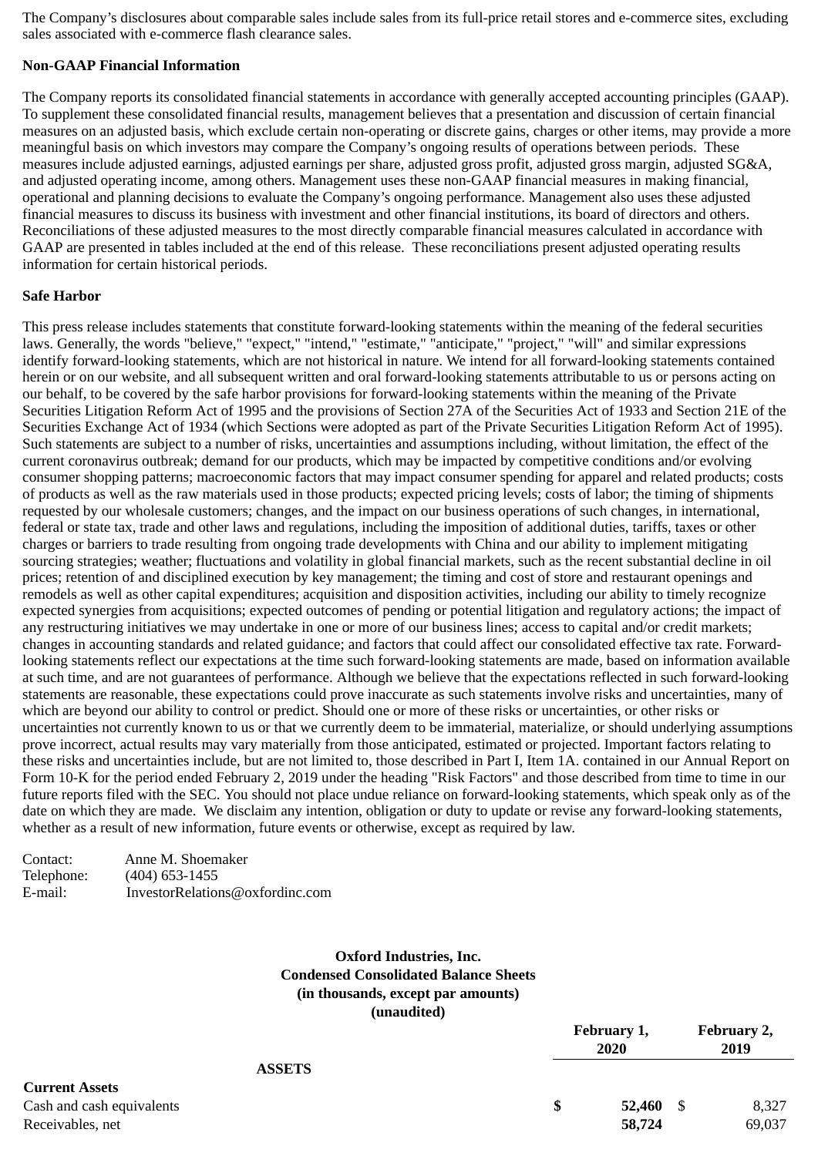The Company's disclosures about comparable sales include sales from its full-price retail stores and e-commerce sites, excluding sales associated with e-commerce flash clearance sales.

#### **Non-GAAP Financial Information**

The Company reports its consolidated financial statements in accordance with generally accepted accounting principles (GAAP). To supplement these consolidated financial results, management believes that a presentation and discussion of certain financial measures on an adjusted basis, which exclude certain non-operating or discrete gains, charges or other items, may provide a more meaningful basis on which investors may compare the Company's ongoing results of operations between periods. These measures include adjusted earnings, adjusted earnings per share, adjusted gross profit, adjusted gross margin, adjusted SG&A, and adjusted operating income, among others. Management uses these non-GAAP financial measures in making financial, operational and planning decisions to evaluate the Company's ongoing performance. Management also uses these adjusted financial measures to discuss its business with investment and other financial institutions, its board of directors and others. Reconciliations of these adjusted measures to the most directly comparable financial measures calculated in accordance with GAAP are presented in tables included at the end of this release. These reconciliations present adjusted operating results information for certain historical periods.

#### **Safe Harbor**

This press release includes statements that constitute forward-looking statements within the meaning of the federal securities laws. Generally, the words "believe," "expect," "intend," "estimate," "anticipate," "project," "will" and similar expressions identify forward-looking statements, which are not historical in nature. We intend for all forward-looking statements contained herein or on our website, and all subsequent written and oral forward-looking statements attributable to us or persons acting on our behalf, to be covered by the safe harbor provisions for forward-looking statements within the meaning of the Private Securities Litigation Reform Act of 1995 and the provisions of Section 27A of the Securities Act of 1933 and Section 21E of the Securities Exchange Act of 1934 (which Sections were adopted as part of the Private Securities Litigation Reform Act of 1995). Such statements are subject to a number of risks, uncertainties and assumptions including, without limitation, the effect of the current coronavirus outbreak; demand for our products, which may be impacted by competitive conditions and/or evolving consumer shopping patterns; macroeconomic factors that may impact consumer spending for apparel and related products; costs of products as well as the raw materials used in those products; expected pricing levels; costs of labor; the timing of shipments requested by our wholesale customers; changes, and the impact on our business operations of such changes, in international, federal or state tax, trade and other laws and regulations, including the imposition of additional duties, tariffs, taxes or other charges or barriers to trade resulting from ongoing trade developments with China and our ability to implement mitigating sourcing strategies; weather; fluctuations and volatility in global financial markets, such as the recent substantial decline in oil prices; retention of and disciplined execution by key management; the timing and cost of store and restaurant openings and remodels as well as other capital expenditures; acquisition and disposition activities, including our ability to timely recognize expected synergies from acquisitions; expected outcomes of pending or potential litigation and regulatory actions; the impact of any restructuring initiatives we may undertake in one or more of our business lines; access to capital and/or credit markets; changes in accounting standards and related guidance; and factors that could affect our consolidated effective tax rate. Forwardlooking statements reflect our expectations at the time such forward-looking statements are made, based on information available at such time, and are not guarantees of performance. Although we believe that the expectations reflected in such forward-looking statements are reasonable, these expectations could prove inaccurate as such statements involve risks and uncertainties, many of which are beyond our ability to control or predict. Should one or more of these risks or uncertainties, or other risks or uncertainties not currently known to us or that we currently deem to be immaterial, materialize, or should underlying assumptions prove incorrect, actual results may vary materially from those anticipated, estimated or projected. Important factors relating to these risks and uncertainties include, but are not limited to, those described in Part I, Item 1A. contained in our Annual Report on Form 10-K for the period ended February 2, 2019 under the heading "Risk Factors" and those described from time to time in our future reports filed with the SEC. You should not place undue reliance on forward-looking statements, which speak only as of the date on which they are made. We disclaim any intention, obligation or duty to update or revise any forward-looking statements, whether as a result of new information, future events or otherwise, except as required by law.

| Contact:   | Anne M. Shoemaker               |
|------------|---------------------------------|
| Telephone: | $(404)$ 653-1455                |
| E-mail:    | InvestorRelations@oxfordinc.com |

# **Oxford Industries, Inc. Condensed Consolidated Balance Sheets (in thousands, except par amounts) (unaudited)**

|                           | February 1,<br>2020 | February 2,<br>2019 |
|---------------------------|---------------------|---------------------|
| <b>ASSETS</b>             |                     |                     |
| <b>Current Assets</b>     |                     |                     |
| Cash and cash equivalents | \$<br>52,460        | 8,327<br>- \$       |
| Receivables, net          | 58,724              | 69,037              |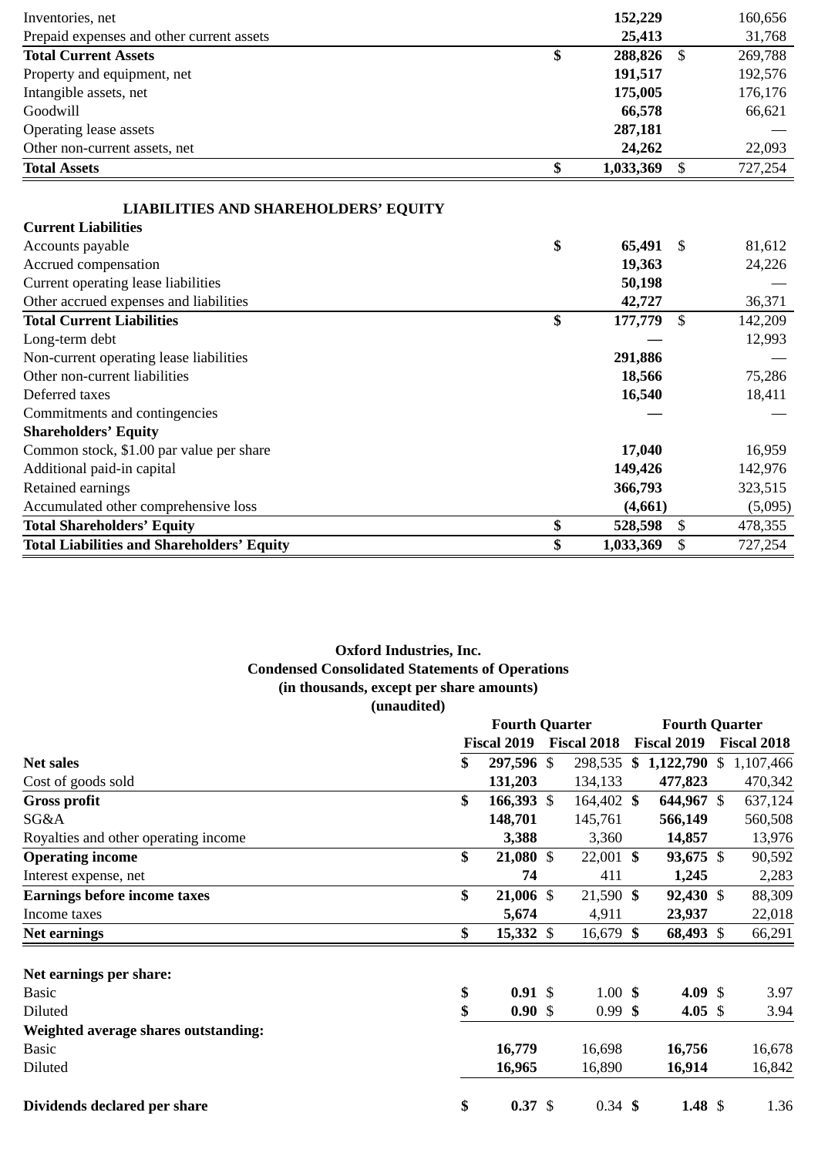| Inventories, net                                                          | 152,229         |                           | 160,656 |
|---------------------------------------------------------------------------|-----------------|---------------------------|---------|
| Prepaid expenses and other current assets                                 | 25,413          |                           | 31,768  |
| <b>Total Current Assets</b>                                               | \$<br>288,826   | $\mathbb{S}$              | 269,788 |
| Property and equipment, net                                               | 191,517         |                           | 192,576 |
| Intangible assets, net                                                    | 175,005         |                           | 176,176 |
| Goodwill                                                                  | 66,578          |                           | 66,621  |
| <b>Operating lease assets</b>                                             | 287,181         |                           |         |
| Other non-current assets, net                                             | 24,262          |                           | 22,093  |
| <b>Total Assets</b>                                                       | \$<br>1,033,369 | $\boldsymbol{\mathsf{S}}$ | 727,254 |
|                                                                           |                 |                           |         |
| <b>LIABILITIES AND SHAREHOLDERS' EQUITY</b><br><b>Current Liabilities</b> |                 |                           |         |
| Accounts payable                                                          | \$<br>65,491    | \$                        | 81,612  |
|                                                                           |                 |                           |         |
| Accrued compensation                                                      | 19,363          |                           | 24,226  |
| Current operating lease liabilities                                       | 50,198          |                           |         |
| Other accrued expenses and liabilities                                    | 42,727          |                           | 36,371  |
| <b>Total Current Liabilities</b>                                          | \$<br>177,779   | \$                        | 142,209 |
| Long-term debt                                                            |                 |                           | 12,993  |
| Non-current operating lease liabilities                                   | 291,886         |                           |         |
| Other non-current liabilities                                             | 18,566          |                           | 75,286  |
| Deferred taxes                                                            | 16,540          |                           | 18,411  |
| Commitments and contingencies                                             |                 |                           |         |
| <b>Shareholders' Equity</b>                                               |                 |                           |         |
| Common stock, \$1.00 par value per share                                  | 17,040          |                           | 16,959  |
| Additional paid-in capital                                                | 149,426         |                           | 142,976 |
| Retained earnings                                                         | 366,793         |                           | 323,515 |
| Accumulated other comprehensive loss                                      | (4,661)         |                           | (5,095) |
| <b>Total Shareholders' Equity</b>                                         | \$<br>528,598   | \$                        | 478,355 |
| <b>Total Liabilities and Shareholders' Equity</b>                         | \$<br>1,033,369 | \$                        | 727,254 |

# **Oxford Industries, Inc. Condensed Consolidated Statements of Operations (in thousands, except per share amounts) (unaudited)**

|                                      | <b>Fourth Quarter</b>    |                    | <b>Fourth Quarter</b> |                 |
|--------------------------------------|--------------------------|--------------------|-----------------------|-----------------|
|                                      | <b>Fiscal 2019</b>       | <b>Fiscal 2018</b> | Fiscal 2019           | Fiscal 2018     |
| <b>Net sales</b>                     | \$<br>297,596 \$         | 298,535            | \$<br>1,122,790       | \$<br>1,107,466 |
| Cost of goods sold                   | 131,203                  | 134,133            | 477,823               | 470,342         |
| <b>Gross profit</b>                  | \$<br>166,393 \$         | 164,402 \$         | 644,967 \$            | 637,124         |
| SG&A                                 | 148,701                  | 145,761            | 566,149               | 560,508         |
| Royalties and other operating income | 3,388                    | 3,360              | 14,857                | 13,976          |
| <b>Operating income</b>              | \$<br>21,080 \$          | 22,001 \$          | 93,675 \$             | 90,592          |
| Interest expense, net                | 74                       | 411                | 1,245                 | 2,283           |
| <b>Earnings before income taxes</b>  | \$<br>21,006 \$          | 21,590 \$          | 92,430 \$             | 88,309          |
| Income taxes                         | 5,674                    | 4,911              | 23,937                | 22,018          |
| <b>Net earnings</b>                  | \$<br>15,332 \$          | 16,679 \$          | 68,493 \$             | 66,291          |
| Net earnings per share:              |                          |                    |                       |                 |
| <b>Basic</b>                         | \$<br>$0.91 \text{ }$ \$ | $1.00 \; \text{S}$ | 4.09 \$               | 3.97            |
| Diluted                              | \$<br>0.90S              | $0.99$ \$          | 4.05 \$               | 3.94            |
| Weighted average shares outstanding: |                          |                    |                       |                 |
| <b>Basic</b>                         | 16,779                   | 16,698             | 16,756                | 16,678          |
| Diluted                              | 16,965                   | 16,890             | 16,914                | 16,842          |
| Dividends declared per share         | \$<br>$0.37 \text{ }$ \$ | $0.34 \;$ \$       | 1.48 $$$              | 1.36            |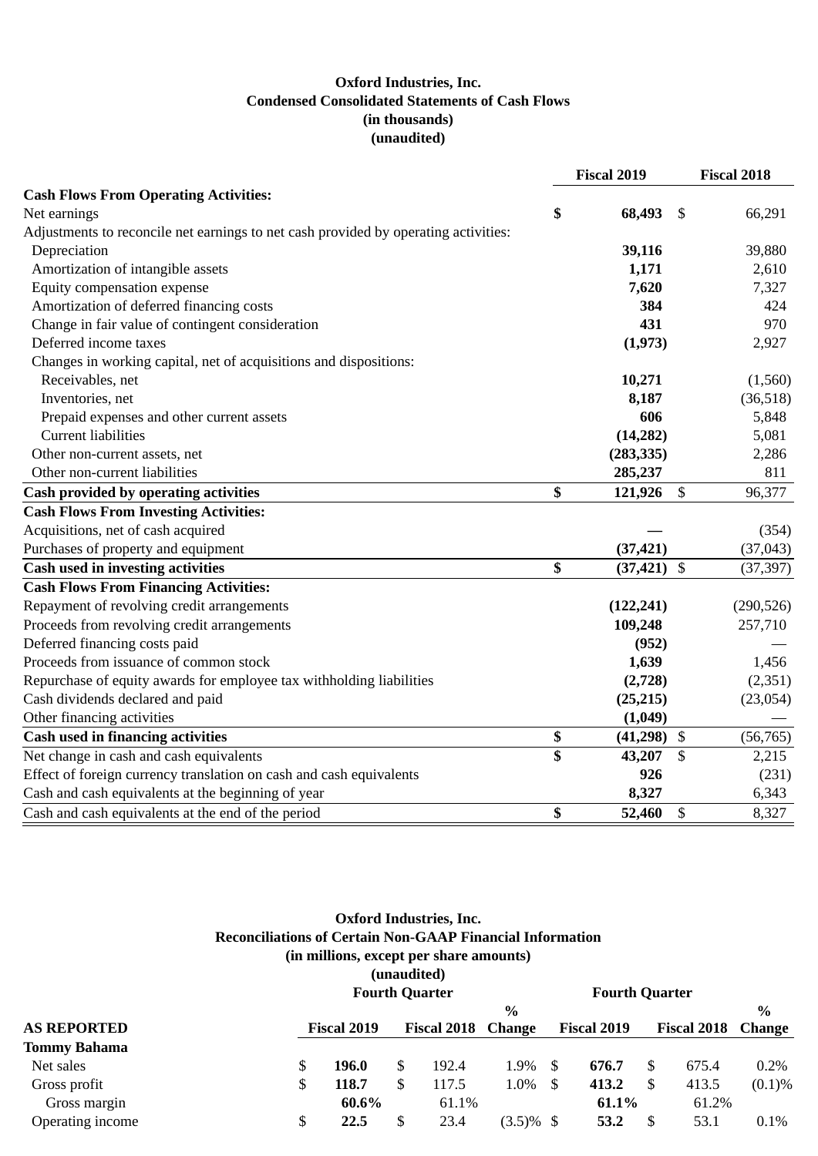# **Oxford Industries, Inc. Condensed Consolidated Statements of Cash Flows (in thousands) (unaudited)**

|                                                                                     | Fiscal 2019     |     | <b>Fiscal 2018</b> |
|-------------------------------------------------------------------------------------|-----------------|-----|--------------------|
| <b>Cash Flows From Operating Activities:</b>                                        |                 |     |                    |
| Net earnings                                                                        | \$<br>68,493    | -\$ | 66,291             |
| Adjustments to reconcile net earnings to net cash provided by operating activities: |                 |     |                    |
| Depreciation                                                                        | 39,116          |     | 39,880             |
| Amortization of intangible assets                                                   | 1,171           |     | 2,610              |
| Equity compensation expense                                                         | 7,620           |     | 7,327              |
| Amortization of deferred financing costs                                            | 384             |     | 424                |
| Change in fair value of contingent consideration                                    | 431             |     | 970                |
| Deferred income taxes                                                               | (1,973)         |     | 2,927              |
| Changes in working capital, net of acquisitions and dispositions:                   |                 |     |                    |
| Receivables, net                                                                    | 10,271          |     | (1,560)            |
| Inventories, net                                                                    | 8,187           |     | (36, 518)          |
| Prepaid expenses and other current assets                                           | 606             |     | 5,848              |
| <b>Current liabilities</b>                                                          | (14, 282)       |     | 5,081              |
| Other non-current assets, net                                                       | (283, 335)      |     | 2,286              |
| Other non-current liabilities                                                       | 285,237         |     | 811                |
| <b>Cash provided by operating activities</b>                                        | \$<br>121,926   | \$  | 96,377             |
| <b>Cash Flows From Investing Activities:</b>                                        |                 |     |                    |
| Acquisitions, net of cash acquired                                                  |                 |     | (354)              |
| Purchases of property and equipment                                                 | (37, 421)       |     | (37, 043)          |
| <b>Cash used in investing activities</b>                                            | \$<br>(37, 421) | \$  | (37, 397)          |
| <b>Cash Flows From Financing Activities:</b>                                        |                 |     |                    |
| Repayment of revolving credit arrangements                                          | (122, 241)      |     | (290, 526)         |
| Proceeds from revolving credit arrangements                                         | 109,248         |     | 257,710            |
| Deferred financing costs paid                                                       | (952)           |     |                    |
| Proceeds from issuance of common stock                                              | 1,639           |     | 1,456              |
| Repurchase of equity awards for employee tax withholding liabilities                | (2,728)         |     | (2, 351)           |
| Cash dividends declared and paid                                                    | (25, 215)       |     | (23,054)           |
| Other financing activities                                                          | (1,049)         |     |                    |
| <b>Cash used in financing activities</b>                                            | \$<br>(41,298)  | \$  | (56, 765)          |
| Net change in cash and cash equivalents                                             | \$<br>43,207    | \$  | 2,215              |
| Effect of foreign currency translation on cash and cash equivalents                 | 926             |     | (231)              |
| Cash and cash equivalents at the beginning of year                                  | 8,327           |     | 6,343              |
| Cash and cash equivalents at the end of the period                                  | \$<br>52,460    | \$  | 8,327              |

## **Oxford Industries, Inc. Reconciliations of Certain Non-GAAP Financial Information (in millions, except per share amounts) (unaudited) Fourth Quarter Fourth Quarter**

| r van en vuur een |       |             |       |      |                    |              |             |       |                                                  |  |  |
|-------------------|-------|-------------|-------|------|--------------------|--------------|-------------|-------|--------------------------------------------------|--|--|
|                   |       |             |       | $\%$ |                    |              |             |       | $\frac{0}{0}$                                    |  |  |
|                   |       |             |       |      |                    |              |             |       | <b>Change</b>                                    |  |  |
|                   |       |             |       |      |                    |              |             |       |                                                  |  |  |
|                   | 196.0 | S           | 192.4 | 1.9% | -S                 | 676.7        | -S          | 675.4 | 0.2%                                             |  |  |
|                   | 118.7 | S           | 117.5 | 1.0% | -S                 | 413.2        | - \$        | 413.5 | (0.1)%                                           |  |  |
|                   | 60.6% |             | 61.1% |      |                    | 61.1%        |             |       |                                                  |  |  |
| S                 | 22.5  | \$          | 23.4  |      |                    | 53.2         |             | 53.1  | 0.1%                                             |  |  |
|                   |       | Fiscal 2019 |       |      | Fiscal 2018 Change | $(3.5)\%$ \$ | Fiscal 2019 |       | r van die Gaarden<br><b>Fiscal 2018</b><br>61.2% |  |  |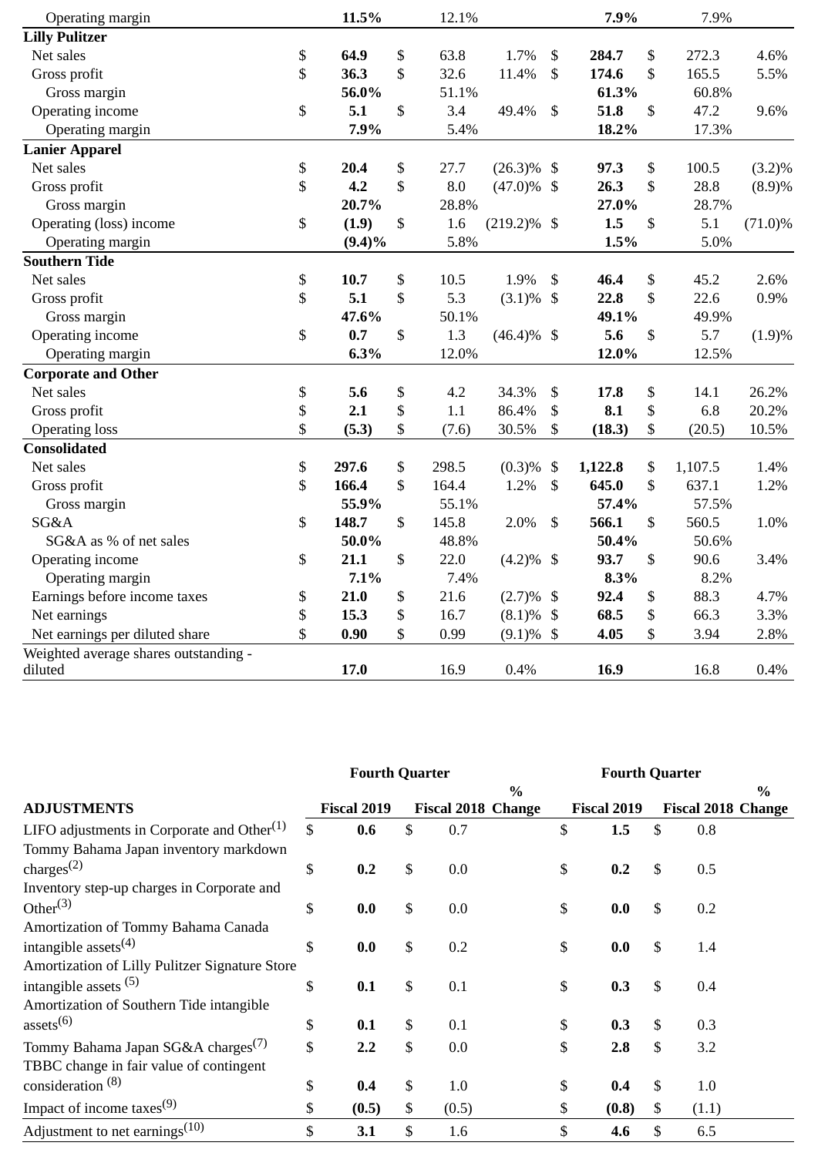| Operating margin                      | 11.5%       | 12.1%       |                | 7.9%          | 7.9%          |            |
|---------------------------------------|-------------|-------------|----------------|---------------|---------------|------------|
| <b>Lilly Pulitzer</b>                 |             |             |                |               |               |            |
| Net sales                             | \$<br>64.9  | \$<br>63.8  | 1.7%           | \$<br>284.7   | \$<br>272.3   | 4.6%       |
| Gross profit                          | \$<br>36.3  | \$<br>32.6  | 11.4%          | \$<br>174.6   | \$<br>165.5   | 5.5%       |
| Gross margin                          | 56.0%       | 51.1%       |                | 61.3%         | 60.8%         |            |
| Operating income                      | \$<br>5.1   | \$<br>3.4   | 49.4%          | \$<br>51.8    | \$<br>47.2    | 9.6%       |
| Operating margin                      | 7.9%        | 5.4%        |                | 18.2%         | 17.3%         |            |
| <b>Lanier Apparel</b>                 |             |             |                |               |               |            |
| Net sales                             | \$<br>20.4  | \$<br>27.7  | $(26.3)\%$ \$  | 97.3          | \$<br>100.5   | $(3.2)\%$  |
| Gross profit                          | \$<br>4.2   | \$<br>8.0   | $(47.0)\%$ \$  | 26.3          | \$<br>28.8    | (8.9)%     |
| Gross margin                          | 20.7%       | 28.8%       |                | 27.0%         | 28.7%         |            |
| Operating (loss) income               | \$<br>(1.9) | \$<br>1.6   | $(219.2)\%$ \$ | 1.5           | \$<br>5.1     | $(71.0)\%$ |
| Operating margin                      | $(9.4)\%$   | 5.8%        |                | 1.5%          | 5.0%          |            |
| <b>Southern Tide</b>                  |             |             |                |               |               |            |
| Net sales                             | \$<br>10.7  | \$<br>10.5  | 1.9%           | \$<br>46.4    | \$<br>45.2    | 2.6%       |
| Gross profit                          | \$<br>5.1   | \$<br>5.3   | $(3.1)\%$ \$   | 22.8          | \$<br>22.6    | 0.9%       |
| Gross margin                          | 47.6%       | 50.1%       |                | 49.1%         | 49.9%         |            |
| Operating income                      | \$<br>0.7   | \$<br>1.3   | $(46.4)\%$ \$  | 5.6           | \$<br>5.7     | (1.9)%     |
| Operating margin                      | 6.3%        | 12.0%       |                | 12.0%         | 12.5%         |            |
| <b>Corporate and Other</b>            |             |             |                |               |               |            |
| Net sales                             | \$<br>5.6   | \$<br>4.2   | 34.3%          | \$<br>17.8    | \$<br>14.1    | 26.2%      |
| Gross profit                          | \$<br>2.1   | \$<br>1.1   | 86.4%          | \$<br>8.1     | \$<br>6.8     | 20.2%      |
| <b>Operating loss</b>                 | \$<br>(5.3) | \$<br>(7.6) | 30.5%          | \$<br>(18.3)  | \$<br>(20.5)  | 10.5%      |
| <b>Consolidated</b>                   |             |             |                |               |               |            |
| Net sales                             | \$<br>297.6 | \$<br>298.5 | (0.3)%         | \$<br>1,122.8 | \$<br>1,107.5 | 1.4%       |
| Gross profit                          | \$<br>166.4 | \$<br>164.4 | 1.2%           | \$<br>645.0   | \$<br>637.1   | 1.2%       |
| Gross margin                          | 55.9%       | 55.1%       |                | 57.4%         | 57.5%         |            |
| SG&A                                  | \$<br>148.7 | \$<br>145.8 | 2.0%           | \$<br>566.1   | \$<br>560.5   | 1.0%       |
| SG&A as % of net sales                | 50.0%       | 48.8%       |                | 50.4%         | 50.6%         |            |
| Operating income                      | \$<br>21.1  | \$<br>22.0  | $(4.2)\%$ \$   | 93.7          | \$<br>90.6    | 3.4%       |
| Operating margin                      | 7.1%        | 7.4%        |                | 8.3%          | 8.2%          |            |
| Earnings before income taxes          | \$<br>21.0  | \$<br>21.6  | $(2.7)\%$      | \$<br>92.4    | \$<br>88.3    | 4.7%       |
| Net earnings                          | \$<br>15.3  | \$<br>16.7  | (8.1)%         | \$<br>68.5    | \$<br>66.3    | 3.3%       |
| Net earnings per diluted share        | \$<br>0.90  | \$<br>0.99  | $(9.1)\%$      | \$<br>4.05    | \$<br>3.94    | 2.8%       |
| Weighted average shares outstanding - |             |             |                |               |               |            |
| diluted                               | 17.0        | 16.9        | 0.4%           | 16.9          | 16.8          | 0.4%       |

|                                                | <b>Fourth Quarter</b> |                    |    |                           |                           | <b>Fourth Quarter</b> |    |                           |  |  |
|------------------------------------------------|-----------------------|--------------------|----|---------------------------|---------------------------|-----------------------|----|---------------------------|--|--|
|                                                |                       |                    |    | $\%$                      |                           |                       |    | $\frac{0}{0}$             |  |  |
| <b>ADJUSTMENTS</b>                             |                       | <b>Fiscal 2019</b> |    | <b>Fiscal 2018 Change</b> |                           | Fiscal 2019           |    | <b>Fiscal 2018 Change</b> |  |  |
| LIFO adjustments in Corporate and Other $(1)$  | \$                    | 0.6                | \$ | 0.7                       | \$                        | 1.5                   | \$ | 0.8                       |  |  |
| Tommy Bahama Japan inventory markdown          |                       |                    |    |                           |                           |                       |    |                           |  |  |
| charges $^{(2)}$                               | \$                    | 0.2                | \$ | 0.0                       | \$                        | 0.2                   | \$ | 0.5                       |  |  |
| Inventory step-up charges in Corporate and     |                       |                    |    |                           |                           |                       |    |                           |  |  |
| Other $^{(3)}$                                 | \$                    | 0.0                | \$ | 0.0                       | \$                        | 0.0                   | \$ | 0.2                       |  |  |
| Amortization of Tommy Bahama Canada            |                       |                    |    |                           |                           |                       |    |                           |  |  |
| intangible assets $(4)$                        | \$                    | 0.0                | \$ | 0.2                       | \$                        | 0.0                   | \$ | 1.4                       |  |  |
| Amortization of Lilly Pulitzer Signature Store |                       |                    |    |                           |                           |                       |    |                           |  |  |
| intangible assets $(5)$                        | \$                    | 0.1                | \$ | 0.1                       | $\boldsymbol{\mathsf{S}}$ | 0.3                   | \$ | 0.4                       |  |  |
| Amortization of Southern Tide intangible       |                       |                    |    |                           |                           |                       |    |                           |  |  |
| assets <sup>(6)</sup>                          | \$                    | 0.1                | \$ | 0.1                       | \$                        | 0.3                   | \$ | 0.3                       |  |  |
| Tommy Bahama Japan SG&A charges <sup>(7)</sup> | \$                    | 2.2                | \$ | 0.0                       | \$                        | 2.8                   | \$ | 3.2                       |  |  |
| TBBC change in fair value of contingent        |                       |                    |    |                           |                           |                       |    |                           |  |  |
| consideration <sup>(8)</sup>                   | \$                    | 0.4                | \$ | 1.0                       | \$                        | 0.4                   | \$ | 1.0                       |  |  |
| Impact of income taxes $(9)$                   | \$                    | (0.5)              | \$ | (0.5)                     | \$                        | (0.8)                 | \$ | (1.1)                     |  |  |
| Adjustment to net earnings $(10)$              | \$                    | 3.1                | \$ | 1.6                       | \$                        | 4.6                   | \$ | 6.5                       |  |  |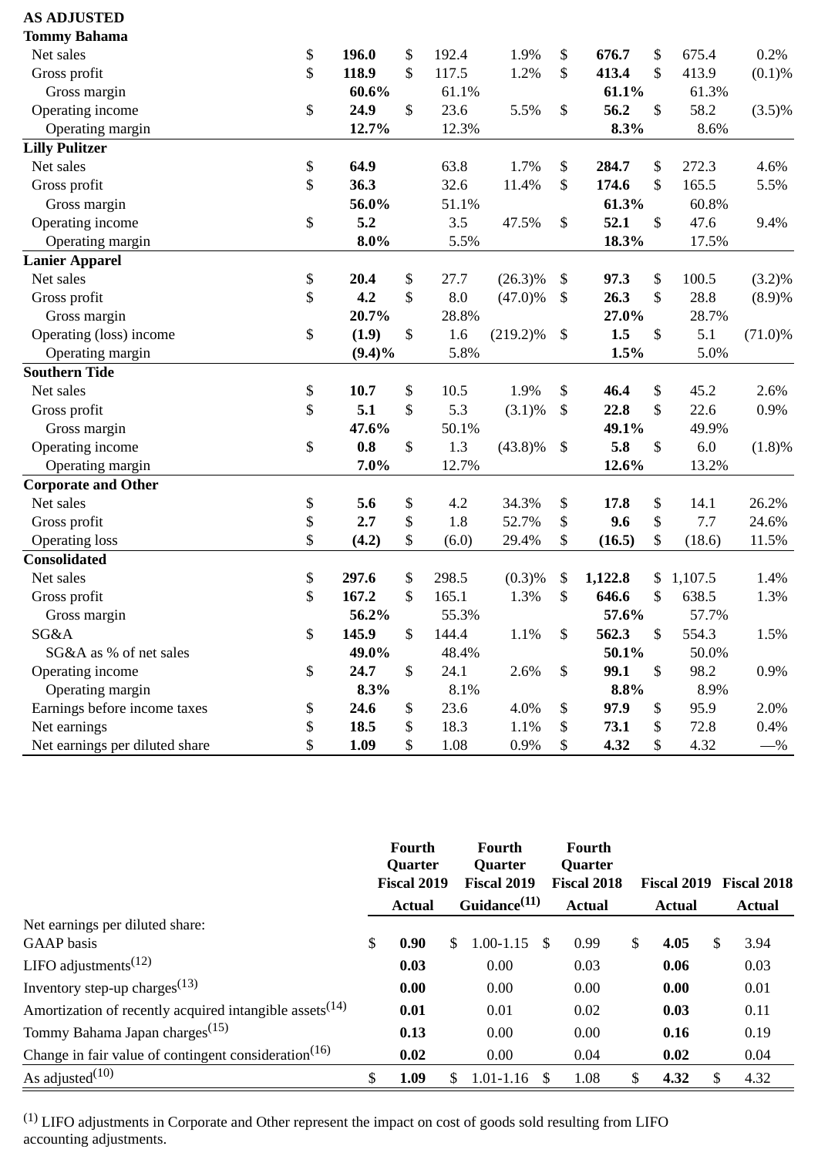| <b>AS ADJUSTED</b>             |             |             |             |               |               |            |
|--------------------------------|-------------|-------------|-------------|---------------|---------------|------------|
| <b>Tommy Bahama</b>            |             |             |             |               |               |            |
| Net sales                      | \$<br>196.0 | \$<br>192.4 | 1.9%        | \$<br>676.7   | \$<br>675.4   | 0.2%       |
| Gross profit                   | \$<br>118.9 | \$<br>117.5 | 1.2%        | \$<br>413.4   | \$<br>413.9   | (0.1)%     |
| Gross margin                   | 60.6%       | 61.1%       |             | 61.1%         | 61.3%         |            |
| Operating income               | \$<br>24.9  | \$<br>23.6  | 5.5%        | \$<br>56.2    | \$<br>58.2    | $(3.5)\%$  |
| Operating margin               | 12.7%       | 12.3%       |             | 8.3%          | 8.6%          |            |
| <b>Lilly Pulitzer</b>          |             |             |             |               |               |            |
| Net sales                      | \$<br>64.9  | 63.8        | 1.7%        | \$<br>284.7   | \$<br>272.3   | 4.6%       |
| Gross profit                   | \$<br>36.3  | 32.6        | 11.4%       | \$<br>174.6   | \$<br>165.5   | 5.5%       |
| Gross margin                   | 56.0%       | 51.1%       |             | 61.3%         | 60.8%         |            |
| Operating income               | \$<br>5.2   | 3.5         | 47.5%       | \$<br>52.1    | \$<br>47.6    | 9.4%       |
| Operating margin               | $8.0\%$     | 5.5%        |             | 18.3%         | 17.5%         |            |
| <b>Lanier Apparel</b>          |             |             |             |               |               |            |
| Net sales                      | \$<br>20.4  | \$<br>27.7  | $(26.3)\%$  | \$<br>97.3    | \$<br>100.5   | $(3.2)\%$  |
| Gross profit                   | \$<br>4.2   | \$<br>8.0   | $(47.0)\%$  | \$<br>26.3    | \$<br>28.8    | (8.9)%     |
| Gross margin                   | 20.7%       | 28.8%       |             | 27.0%         | 28.7%         |            |
| Operating (loss) income        | \$<br>(1.9) | \$<br>1.6   | $(219.2)\%$ | \$<br>1.5     | \$<br>5.1     | $(71.0)\%$ |
| Operating margin               | $(9.4)\%$   | 5.8%        |             | 1.5%          | 5.0%          |            |
| <b>Southern Tide</b>           |             |             |             |               |               |            |
| Net sales                      | \$<br>10.7  | \$<br>10.5  | 1.9%        | \$<br>46.4    | \$<br>45.2    | 2.6%       |
| Gross profit                   | \$<br>5.1   | \$<br>5.3   | $(3.1)\%$   | \$<br>22.8    | \$<br>22.6    | 0.9%       |
| Gross margin                   | 47.6%       | 50.1%       |             | 49.1%         | 49.9%         |            |
| Operating income               | \$<br>0.8   | \$<br>1.3   | $(43.8)\%$  | \$<br>5.8     | \$<br>6.0     | (1.8)%     |
| Operating margin               | 7.0%        | 12.7%       |             | 12.6%         | 13.2%         |            |
| <b>Corporate and Other</b>     |             |             |             |               |               |            |
| Net sales                      | \$<br>5.6   | \$<br>4.2   | 34.3%       | \$<br>17.8    | \$<br>14.1    | 26.2%      |
| Gross profit                   | \$<br>2.7   | \$<br>1.8   | 52.7%       | \$<br>9.6     | \$<br>7.7     | 24.6%      |
| <b>Operating loss</b>          | \$<br>(4.2) | \$<br>(6.0) | 29.4%       | \$<br>(16.5)  | \$<br>(18.6)  | 11.5%      |
| <b>Consolidated</b>            |             |             |             |               |               |            |
| Net sales                      | \$<br>297.6 | \$<br>298.5 | (0.3)%      | \$<br>1,122.8 | \$<br>1,107.5 | 1.4%       |
| Gross profit                   | \$<br>167.2 | \$<br>165.1 | 1.3%        | \$<br>646.6   | \$<br>638.5   | 1.3%       |
| Gross margin                   | 56.2%       | 55.3%       |             | 57.6%         | 57.7%         |            |
| SG&A                           | \$<br>145.9 | \$<br>144.4 | $1.1\%$     | \$<br>562.3   | \$<br>554.3   | 1.5%       |
| SG&A as % of net sales         | 49.0%       | 48.4%       |             | 50.1%         | 50.0%         |            |
| Operating income               | \$<br>24.7  | \$<br>24.1  | 2.6%        | \$<br>99.1    | \$<br>98.2    | 0.9%       |
| Operating margin               | 8.3%        | 8.1%        |             | 8.8%          | 8.9%          |            |
| Earnings before income taxes   | \$<br>24.6  | \$<br>23.6  | 4.0%        | \$<br>97.9    | \$<br>95.9    | 2.0%       |
| Net earnings                   | \$<br>18.5  | \$<br>18.3  | 1.1%        | \$<br>73.1    | \$<br>72.8    | 0.4%       |
| Net earnings per diluted share | \$<br>1.09  | \$<br>1.08  | 0.9%        | \$<br>4.32    | \$<br>4.32    | $-$ %      |

|                                                            | Fourth<br><b>Quarter</b> |    | <b>Fourth</b><br>Quarter |      | Fourth<br>Quarter  |    |               |    |                    |
|------------------------------------------------------------|--------------------------|----|--------------------------|------|--------------------|----|---------------|----|--------------------|
|                                                            | Fiscal 2019              |    | Fiscal 2019              |      | <b>Fiscal 2018</b> |    | Fiscal 2019   |    | <b>Fiscal 2018</b> |
|                                                            | <b>Actual</b>            |    | Guidance <sup>(11)</sup> |      | <b>Actual</b>      |    | <b>Actual</b> |    | <b>Actual</b>      |
| Net earnings per diluted share:                            |                          |    |                          |      |                    |    |               |    |                    |
| <b>GAAP</b> basis                                          | \$<br>0.90               | \$ | $1.00 - 1.15$            | - \$ | 0.99               | \$ | 4.05          | S  | 3.94               |
| LIFO adjustments $(12)$                                    | 0.03                     |    | 0.00                     |      | 0.03               |    | 0.06          |    | 0.03               |
| Inventory step-up charges <sup><math>(13)</math></sup>     | 0.00                     |    | 0.00                     |      | 0.00               |    | 0.00          |    | 0.01               |
| Amortization of recently acquired intangible assets $(14)$ | 0.01                     |    | 0.01                     |      | 0.02               |    | 0.03          |    | 0.11               |
| Tommy Bahama Japan charges <sup>(15)</sup>                 | 0.13                     |    | 0.00                     |      | 0.00               |    | 0.16          |    | 0.19               |
| Change in fair value of contingent consideration $(16)$    | 0.02                     |    | 0.00                     |      | 0.04               |    | 0.02          |    | 0.04               |
| As adjusted $(10)$                                         | \$<br>1.09               | S  | 1.01-1.16                | -S   | 1.08               | S  | 4.32          | S. | 4.32               |

 $<sup>(1)</sup>$  LIFO adjustments in Corporate and Other represent the impact on cost of goods sold resulting from LIFO</sup> accounting adjustments.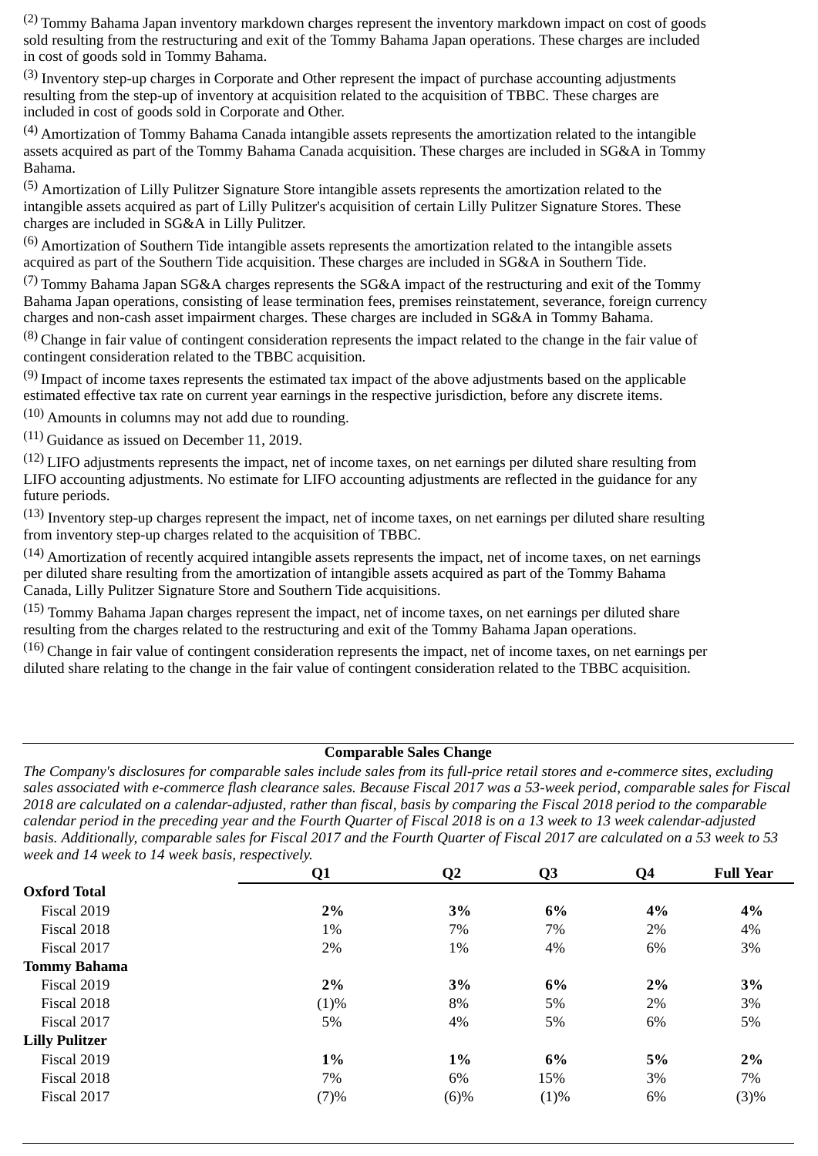(2) Tommy Bahama Japan inventory markdown charges represent the inventory markdown impact on cost of goods sold resulting from the restructuring and exit of the Tommy Bahama Japan operations. These charges are included in cost of goods sold in Tommy Bahama.

 $(3)$  Inventory step-up charges in Corporate and Other represent the impact of purchase accounting adjustments resulting from the step-up of inventory at acquisition related to the acquisition of TBBC. These charges are included in cost of goods sold in Corporate and Other.

 $(4)$  Amortization of Tommy Bahama Canada intangible assets represents the amortization related to the intangible assets acquired as part of the Tommy Bahama Canada acquisition. These charges are included in SG&A in Tommy Bahama.

<sup>(5)</sup> Amortization of Lilly Pulitzer Signature Store intangible assets represents the amortization related to the intangible assets acquired as part of Lilly Pulitzer's acquisition of certain Lilly Pulitzer Signature Stores. These charges are included in SG&A in Lilly Pulitzer.

 $(6)$  Amortization of Southern Tide intangible assets represents the amortization related to the intangible assets acquired as part of the Southern Tide acquisition. These charges are included in SG&A in Southern Tide.

 $(7)$  Tommy Bahama Japan SG&A charges represents the SG&A impact of the restructuring and exit of the Tommy Bahama Japan operations, consisting of lease termination fees, premises reinstatement, severance, foreign currency charges and non-cash asset impairment charges. These charges are included in SG&A in Tommy Bahama.

 $(8)$  Change in fair value of contingent consideration represents the impact related to the change in the fair value of contingent consideration related to the TBBC acquisition.

 $(9)$  Impact of income taxes represents the estimated tax impact of the above adjustments based on the applicable estimated effective tax rate on current year earnings in the respective jurisdiction, before any discrete items.

(10) Amounts in columns may not add due to rounding.

(11) Guidance as issued on December 11, 2019.

 $(12)$  LIFO adiustments represents the impact, net of income taxes, on net earnings per diluted share resulting from LIFO accounting adjustments. No estimate for LIFO accounting adjustments are reflected in the guidance for any future periods.

 $(13)$  Inventory step-up charges represent the impact, net of income taxes, on net earnings per diluted share resulting from inventory step-up charges related to the acquisition of TBBC.

 $(14)$  Amortization of recently acquired intangible assets represents the impact, net of income taxes, on net earnings per diluted share resulting from the amortization of intangible assets acquired as part of the Tommy Bahama Canada, Lilly Pulitzer Signature Store and Southern Tide acquisitions.

(15) Tommy Bahama Japan charges represent the impact, net of income taxes, on net earnings per diluted share resulting from the charges related to the restructuring and exit of the Tommy Bahama Japan operations.

 $(16)$  Change in fair value of contingent consideration represents the impact, net of income taxes, on net earnings per diluted share relating to the change in the fair value of contingent consideration related to the TBBC acquisition.

#### **Comparable Sales Change**

*The Company's disclosures for comparable sales include sales from its full-price retail stores and e-commerce sites, excluding sales associated with e-commerce flash clearance sales. Because Fiscal 2017 was a 53-week period, comparable sales for Fiscal 2018 are calculated on a calendar-adjusted, rather than fiscal, basis by comparing the Fiscal 2018 period to the comparable calendar period in the preceding year and the Fourth Quarter of Fiscal 2018 is on a 13 week to 13 week calendar-adjusted basis. Additionally, comparable sales for Fiscal 2017 and the Fourth Quarter of Fiscal 2017 are calculated on a 53 week to 53 week and 14 week to 14 week basis, respectively.*

|                       | Q1    | $\overline{Q}2$ | Q <sub>3</sub> | Q <sub>4</sub> | <b>Full Year</b> |
|-----------------------|-------|-----------------|----------------|----------------|------------------|
| <b>Oxford Total</b>   |       |                 |                |                |                  |
| Fiscal 2019           | 2%    | 3%              | 6%             | 4%             | 4%               |
| Fiscal 2018           | 1%    | 7%              | 7%             | 2%             | 4%               |
| Fiscal 2017           | 2%    | 1%              | 4%             | 6%             | 3%               |
| <b>Tommy Bahama</b>   |       |                 |                |                |                  |
| Fiscal 2019           | 2%    | 3%              | 6%             | 2%             | 3%               |
| Fiscal 2018           | (1)%  | 8%              | 5%             | 2%             | 3%               |
| Fiscal 2017           | 5%    | 4%              | 5%             | 6%             | 5%               |
| <b>Lilly Pulitzer</b> |       |                 |                |                |                  |
| Fiscal 2019           | $1\%$ | $1\%$           | 6%             | 5%             | 2%               |
| Fiscal 2018           | 7%    | 6%              | 15%            | 3%             | 7%               |
| Fiscal 2017           | (7)%  | (6)%            | (1)%           | 6%             | (3)%             |